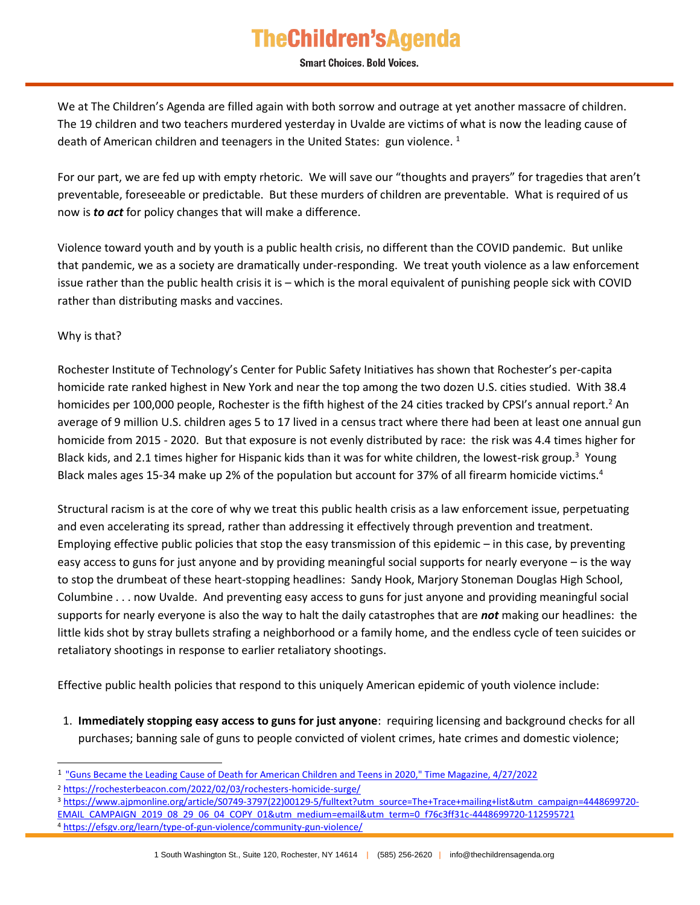## **TheChildren'sAgenda**

**Smart Choices. Bold Voices.** 

We at The Children's Agenda are filled again with both sorrow and outrage at yet another massacre of children. The 19 children and two teachers murdered yesterday in Uvalde are victims of what is now the leading cause of death of American children and teenagers in the United States: gun violence.<sup>1</sup>

For our part, we are fed up with empty rhetoric. We will save our "thoughts and prayers" for tragedies that aren't preventable, foreseeable or predictable. But these murders of children are preventable. What is required of us now is *to act* for policy changes that will make a difference.

Violence toward youth and by youth is a public health crisis, no different than the COVID pandemic. But unlike that pandemic, we as a society are dramatically under-responding. We treat youth violence as a law enforcement issue rather than the public health crisis it is – which is the moral equivalent of punishing people sick with COVID rather than distributing masks and vaccines.

Why is that?

ł

Rochester Institute of Technology's Center for Public Safety Initiatives has shown that Rochester's per-capita homicide rate ranked highest in New York and near the top among the two dozen U.S. cities studied. With 38.4 homicides per 100,000 people, Rochester is the fifth highest of the 24 cities tracked by CPSI's annual report.<sup>2</sup> An average of 9 million U.S. children ages 5 to 17 lived in a census tract where there had been at least one annual gun homicide from 2015 - 2020. But that exposure is not evenly distributed by race: the risk was 4.4 times higher for Black kids, and 2.1 times higher for Hispanic kids than it was for white children, the lowest-risk group.<sup>3</sup> Young Black males ages 15-34 make up 2% of the population but account for 37% of all firearm homicide victims.<sup>4</sup>

Structural racism is at the core of why we treat this public health crisis as a law enforcement issue, perpetuating and even accelerating its spread, rather than addressing it effectively through prevention and treatment. Employing effective public policies that stop the easy transmission of this epidemic – in this case, by preventing easy access to guns for just anyone and by providing meaningful social supports for nearly everyone – is the way to stop the drumbeat of these heart-stopping headlines: Sandy Hook, Marjory Stoneman Douglas High School, Columbine . . . now Uvalde. And preventing easy access to guns for just anyone and providing meaningful social supports for nearly everyone is also the way to halt the daily catastrophes that are *not* making our headlines: the little kids shot by stray bullets strafing a neighborhood or a family home, and the endless cycle of teen suicides or retaliatory shootings in response to earlier retaliatory shootings.

Effective public health policies that respond to this uniquely American epidemic of youth violence include:

1. **Immediately stopping easy access to guns for just anyone**: requiring licensing and background checks for all purchases; banning sale of guns to people convicted of violent crimes, hate crimes and domestic violence;

<sup>&</sup>lt;sup>1</sup> ["Guns Became the Leading Cause of Death for American Children and Teens in 2020," Time Magazine, 4/27/2022](https://time.com/6170864/cause-of-death-children-guns/)

<sup>2</sup> <https://rochesterbeacon.com/2022/02/03/rochesters-homicide-surge/>

<sup>3</sup> [https://www.ajpmonline.org/article/S0749-3797\(22\)00129-5/fulltext?utm\\_source=The+Trace+mailing+list&utm\\_campaign=4448699720-](https://www.ajpmonline.org/article/S0749-3797(22)00129-5/fulltext?utm_source=The+Trace+mailing+list&utm_campaign=4448699720-EMAIL_CAMPAIGN_2019_08_29_06_04_COPY_01&utm_medium=email&utm_term=0_f76c3ff31c-4448699720-112595721)

[EMAIL\\_CAMPAIGN\\_2019\\_08\\_29\\_06\\_04\\_COPY\\_01&utm\\_medium=email&utm\\_term=0\\_f76c3ff31c-4448699720-112595721](https://www.ajpmonline.org/article/S0749-3797(22)00129-5/fulltext?utm_source=The+Trace+mailing+list&utm_campaign=4448699720-EMAIL_CAMPAIGN_2019_08_29_06_04_COPY_01&utm_medium=email&utm_term=0_f76c3ff31c-4448699720-112595721) <sup>4</sup> <https://efsgv.org/learn/type-of-gun-violence/community-gun-violence/>